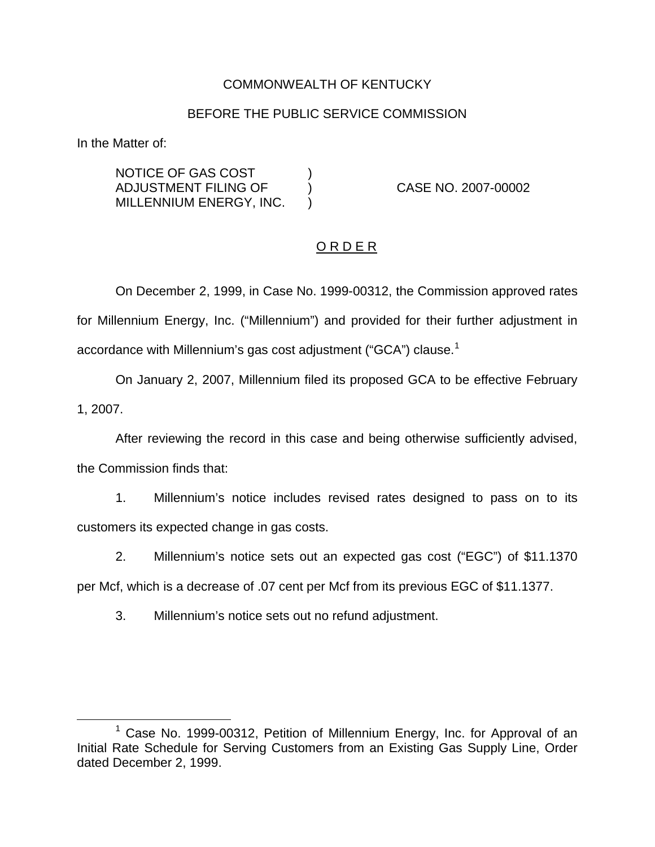## COMMONWEALTH OF KENTUCKY

#### BEFORE THE PUBLIC SERVICE COMMISSION

In the Matter of:

NOTICE OF GAS COST  $|$ ADJUSTMENT FILING OF ) CASE NO. 2007-00002 MILLENNIUM ENERGY, INC. )

#### O R D E R

On December 2, 1999, in Case No. 1999-00312, the Commission approved rates for Millennium Energy, Inc. ("Millennium") and provided for their further adjustment in accordance with Millennium's gas cost adjustment ("GCA") clause.<sup>1</sup>

On January 2, 2007, Millennium filed its proposed GCA to be effective February 1, 2007.

After reviewing the record in this case and being otherwise sufficiently advised, the Commission finds that:

1. Millennium's notice includes revised rates designed to pass on to its customers its expected change in gas costs.

2. Millennium's notice sets out an expected gas cost ("EGC") of \$11.1370

per Mcf, which is a decrease of .07 cent per Mcf from its previous EGC of \$11.1377.

3. Millennium's notice sets out no refund adjustment.

 $1$  Case No. 1999-00312, Petition of Millennium Energy, Inc. for Approval of an Initial Rate Schedule for Serving Customers from an Existing Gas Supply Line, Order dated December 2, 1999.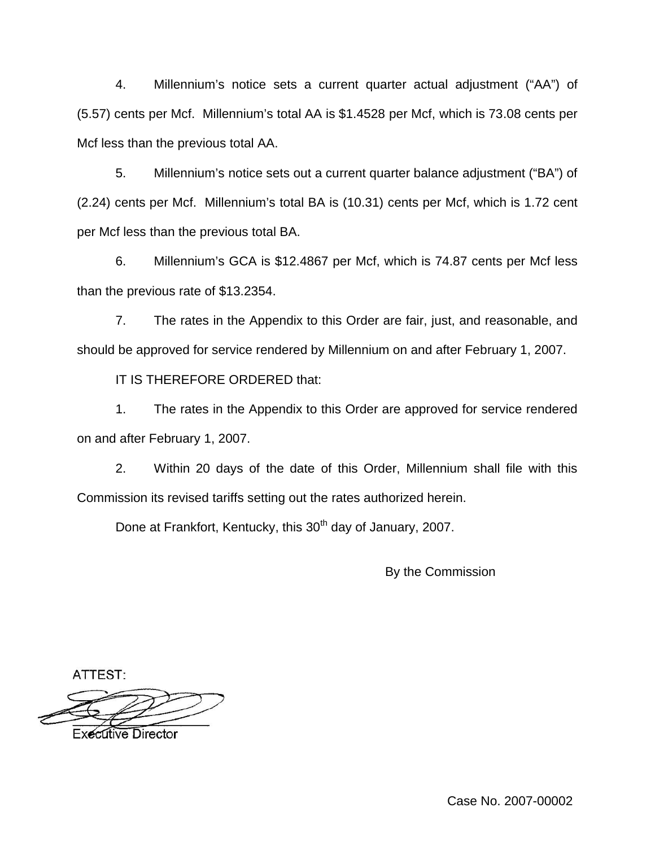4. Millennium's notice sets a current quarter actual adjustment ("AA") of (5.57) cents per Mcf. Millennium's total AA is \$1.4528 per Mcf, which is 73.08 cents per Mcf less than the previous total AA.

5. Millennium's notice sets out a current quarter balance adjustment ("BA") of (2.24) cents per Mcf. Millennium's total BA is (10.31) cents per Mcf, which is 1.72 cent per Mcf less than the previous total BA.

6. Millennium's GCA is \$12.4867 per Mcf, which is 74.87 cents per Mcf less than the previous rate of \$13.2354.

7. The rates in the Appendix to this Order are fair, just, and reasonable, and should be approved for service rendered by Millennium on and after February 1, 2007.

IT IS THEREFORE ORDERED that:

1. The rates in the Appendix to this Order are approved for service rendered on and after February 1, 2007.

2. Within 20 days of the date of this Order, Millennium shall file with this Commission its revised tariffs setting out the rates authorized herein.

Done at Frankfort, Kentucky, this 30<sup>th</sup> day of January, 2007.

By the Commission

ATTEST:

**Executive Director** 

Case No. 2007-00002